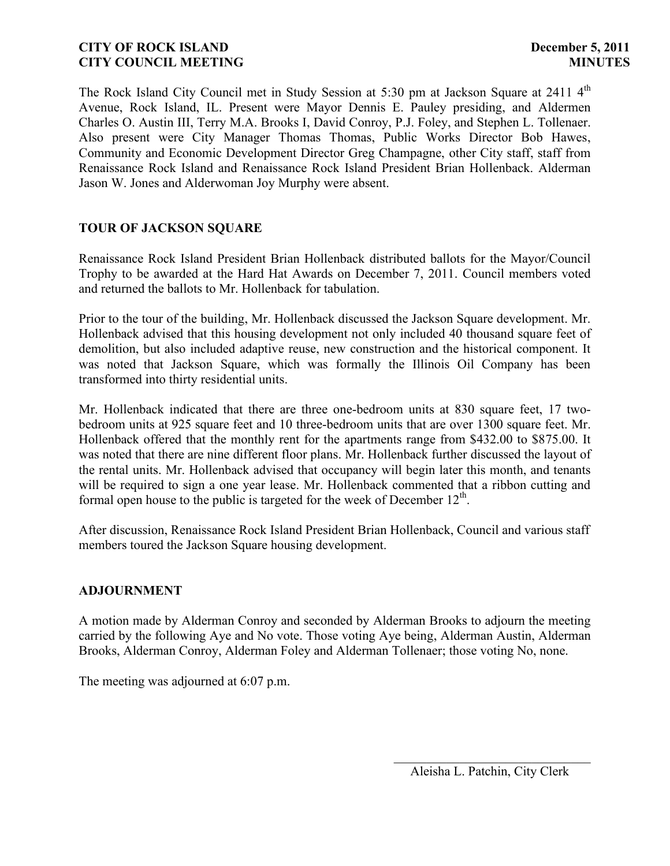The Rock Island City Council met in Study Session at 5:30 pm at Jackson Square at 2411 4<sup>th</sup> Avenue, Rock Island, IL. Present were Mayor Dennis E. Pauley presiding, and Aldermen Charles O. Austin III, Terry M.A. Brooks I, David Conroy, P.J. Foley, and Stephen L. Tollenaer. Also present were City Manager Thomas Thomas, Public Works Director Bob Hawes, Community and Economic Development Director Greg Champagne, other City staff, staff from Renaissance Rock Island and Renaissance Rock Island President Brian Hollenback. Alderman Jason W. Jones and Alderwoman Joy Murphy were absent.

# **TOUR OF JACKSON SQUARE**

Renaissance Rock Island President Brian Hollenback distributed ballots for the Mayor/Council Trophy to be awarded at the Hard Hat Awards on December 7, 2011. Council members voted and returned the ballots to Mr. Hollenback for tabulation.

Prior to the tour of the building, Mr. Hollenback discussed the Jackson Square development. Mr. Hollenback advised that this housing development not only included 40 thousand square feet of demolition, but also included adaptive reuse, new construction and the historical component. It was noted that Jackson Square, which was formally the Illinois Oil Company has been transformed into thirty residential units.

Mr. Hollenback indicated that there are three one-bedroom units at 830 square feet, 17 twobedroom units at 925 square feet and 10 three-bedroom units that are over 1300 square feet. Mr. Hollenback offered that the monthly rent for the apartments range from \$432.00 to \$875.00. It was noted that there are nine different floor plans. Mr. Hollenback further discussed the layout of the rental units. Mr. Hollenback advised that occupancy will begin later this month, and tenants will be required to sign a one year lease. Mr. Hollenback commented that a ribbon cutting and formal open house to the public is targeted for the week of December  $12<sup>th</sup>$ .

After discussion, Renaissance Rock Island President Brian Hollenback, Council and various staff members toured the Jackson Square housing development.

### **ADJOURNMENT**

A motion made by Alderman Conroy and seconded by Alderman Brooks to adjourn the meeting carried by the following Aye and No vote. Those voting Aye being, Alderman Austin, Alderman Brooks, Alderman Conroy, Alderman Foley and Alderman Tollenaer; those voting No, none.

The meeting was adjourned at 6:07 p.m.

 $\overline{\phantom{a}}$ Aleisha L. Patchin, City Clerk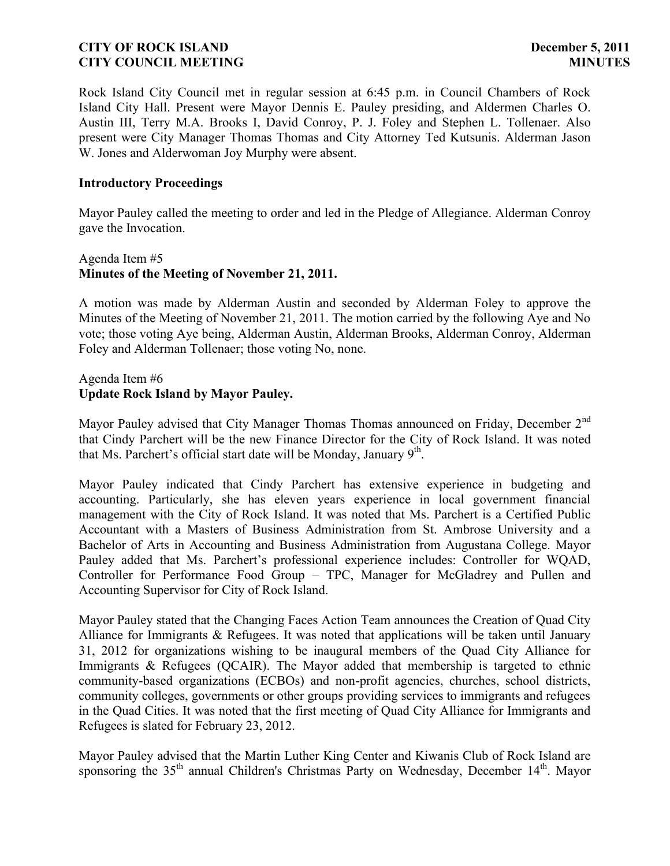Rock Island City Council met in regular session at 6:45 p.m. in Council Chambers of Rock Island City Hall. Present were Mayor Dennis E. Pauley presiding, and Aldermen Charles O. Austin III, Terry M.A. Brooks I, David Conroy, P. J. Foley and Stephen L. Tollenaer. Also present were City Manager Thomas Thomas and City Attorney Ted Kutsunis. Alderman Jason W. Jones and Alderwoman Joy Murphy were absent.

### **Introductory Proceedings**

Mayor Pauley called the meeting to order and led in the Pledge of Allegiance. Alderman Conroy gave the Invocation.

# Agenda Item #5 **Minutes of the Meeting of November 21, 2011.**

A motion was made by Alderman Austin and seconded by Alderman Foley to approve the Minutes of the Meeting of November 21, 2011. The motion carried by the following Aye and No vote; those voting Aye being, Alderman Austin, Alderman Brooks, Alderman Conroy, Alderman Foley and Alderman Tollenaer; those voting No, none.

# Agenda Item #6 **Update Rock Island by Mayor Pauley.**

Mayor Pauley advised that City Manager Thomas Thomas announced on Friday, December 2<sup>nd</sup> that Cindy Parchert will be the new Finance Director for the City of Rock Island. It was noted that Ms. Parchert's official start date will be Monday, January  $9^{th}$ .

Mayor Pauley indicated that Cindy Parchert has extensive experience in budgeting and accounting. Particularly, she has eleven years experience in local government financial management with the City of Rock Island. It was noted that Ms. Parchert is a Certified Public Accountant with a Masters of Business Administration from St. Ambrose University and a Bachelor of Arts in Accounting and Business Administration from Augustana College. Mayor Pauley added that Ms. Parchert's professional experience includes: Controller for WQAD, Controller for Performance Food Group – TPC, Manager for McGladrey and Pullen and Accounting Supervisor for City of Rock Island.

Mayor Pauley stated that the Changing Faces Action Team announces the Creation of Quad City Alliance for Immigrants & Refugees. It was noted that applications will be taken until January 31, 2012 for organizations wishing to be inaugural members of the Quad City Alliance for Immigrants & Refugees (QCAIR). The Mayor added that membership is targeted to ethnic community-based organizations (ECBOs) and non-profit agencies, churches, school districts, community colleges, governments or other groups providing services to immigrants and refugees in the Quad Cities. It was noted that the first meeting of Quad City Alliance for Immigrants and Refugees is slated for February 23, 2012.

Mayor Pauley advised that the Martin Luther King Center and Kiwanis Club of Rock Island are sponsoring the 35<sup>th</sup> annual Children's Christmas Party on Wednesday, December 14<sup>th</sup>. Mayor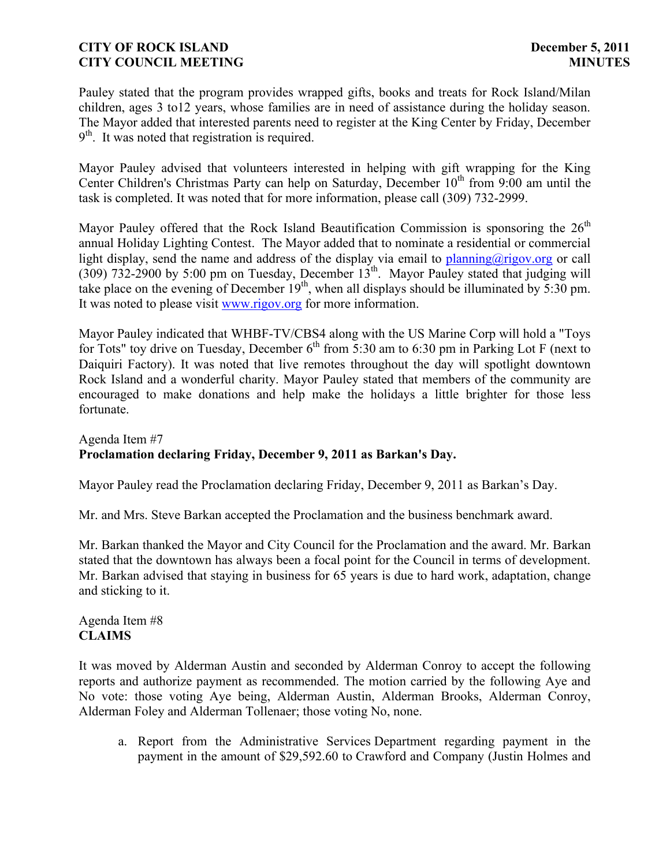Pauley stated that the program provides wrapped gifts, books and treats for Rock Island/Milan children, ages 3 to12 years, whose families are in need of assistance during the holiday season. The Mayor added that interested parents need to register at the King Center by Friday, December 9<sup>th</sup>. It was noted that registration is required.

Mayor Pauley advised that volunteers interested in helping with gift wrapping for the King Center Children's Christmas Party can help on Saturday, December  $10<sup>th</sup>$  from 9:00 am until the task is completed. It was noted that for more information, please call (309) 732-2999.

Mayor Pauley offered that the Rock Island Beautification Commission is sponsoring the  $26<sup>th</sup>$ annual Holiday Lighting Contest. The Mayor added that to nominate a residential or commercial light display, send the name and address of the display via [email](mailto:planning@rigov.org?) to [planning@rigov.org](mailto:planning@rigov.org) or call  $(309)$  732-2900 by 5:00 pm on Tuesday, December  $13<sup>th</sup>$ . Mayor Pauley stated that judging will take place on the evening of December  $19<sup>th</sup>$ , when all displays should be illuminated by  $5:30$  pm. It was noted to please visit [www.rigov.org](http://www.rigov.org/) for [more](http://r20.rs6.net/tn.jsp?llr=kjh86ncab&et=1108886067530&s=151&e=001BZjWCdSvWZnNNMKB85Yq4GbAQOt6v9ij-ufLWiP0Q5uk_nz5yf82_vxPnL9EcGCeTfaWaQZSKjg1pME8S5nCqfe00IKKZa3EvaNwssvYbN-816SMgkrxeVXg94jl5CKfNcGDkTJv2N3lRhyiP40SzA==) information.

Mayor Pauley indicated that WHBF-TV/CBS4 along with the US Marine Corp will hold a "Toys for Tots" toy drive on Tuesday, December  $6<sup>th</sup>$  from 5:30 am to 6:30 pm in Parking Lot F (next to Daiquiri Factory). It was noted that live remotes throughout the day will spotlight downtown Rock Island and a wonderful charity. Mayor Pauley stated that members of the community are encouraged to make donations and help make the holidays a little brighter for those less fortunate.

# Agenda Item #7 **Proclamation declaring Friday, December 9, 2011 as Barkan's Day.**

Mayor Pauley read the Proclamation declaring Friday, December 9, 2011 as Barkan's Day.

Mr. and Mrs. Steve Barkan accepted the Proclamation and the business benchmark award.

Mr. Barkan thanked the Mayor and City Council for the Proclamation and the award. Mr. Barkan stated that the downtown has always been a focal point for the Council in terms of development. Mr. Barkan advised that staying in business for 65 years is due to hard work, adaptation, change and sticking to it.

Agenda Item #8 **CLAIMS**

It was moved by Alderman Austin and seconded by Alderman Conroy to accept the following reports and authorize payment as recommended. The motion carried by the following Aye and No vote: those voting Aye being, Alderman Austin, Alderman Brooks, Alderman Conroy, Alderman Foley and Alderman Tollenaer; those voting No, none.

a. Report from the Administrative Services Department regarding payment in the payment in the amount of \$29,592.60 to Crawford and Company (Justin Holmes and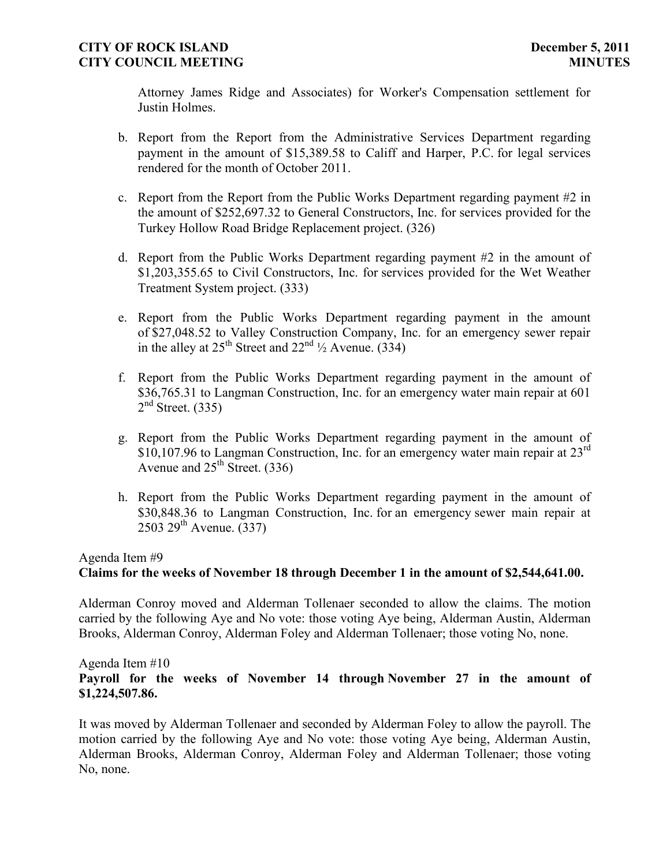Attorney James Ridge and Associates) for Worker's Compensation settlement for Justin Holmes.

- b. Report from the Report from the Administrative Services Department regarding payment in the amount of \$15,389.58 to Califf and Harper, P.C. for legal services rendered for the month of October 2011.
- c. Report from the Report from the Public Works Department regarding payment #2 in the amount of \$252,697.32 to General Constructors, Inc. for services provided for the Turkey Hollow Road Bridge Replacement project. (326)
- d. Report from the Public Works Department regarding payment #2 in the amount of \$1,203,355.65 to Civil Constructors, Inc. for services provided for the Wet Weather Treatment System project. (333)
- e. Report from the Public Works Department regarding payment in the amount of \$27,048.52 to Valley Construction Company, Inc. for an emergency sewer repair in the alley at  $25^{th}$  Street and  $22^{nd}$   $\frac{1}{2}$  Avenue. (334)
- f. Report from the Public Works Department regarding payment in the amount of \$36,765.31 to Langman Construction, Inc. for an emergency water main repair at 601  $2<sup>nd</sup>$  Street. (335)
- g. Report from the Public Works Department regarding payment in the amount of \$10,107.96 to Langman Construction, Inc. for an emergency water main repair at  $23^{\text{rd}}$ Avenue and  $25<sup>th</sup>$  Street. (336)
- h. Report from the Public Works Department regarding payment in the amount of \$30,848.36 to Langman Construction, Inc. for an emergency sewer main repair at  $2503 \ 29^{th}$  Avenue. (337)

### Agenda Item #9

# **Claims for the weeks of November 18 through December 1 in the amount of \$2,544,641.00.**

Alderman Conroy moved and Alderman Tollenaer seconded to allow the claims. The motion carried by the following Aye and No vote: those voting Aye being, Alderman Austin, Alderman Brooks, Alderman Conroy, Alderman Foley and Alderman Tollenaer; those voting No, none.

# Agenda Item #10 **Payroll for the weeks of November 14 through November 27 in the amount of \$1,224,507.86.**

It was moved by Alderman Tollenaer and seconded by Alderman Foley to allow the payroll. The motion carried by the following Aye and No vote: those voting Aye being, Alderman Austin, Alderman Brooks, Alderman Conroy, Alderman Foley and Alderman Tollenaer; those voting No, none.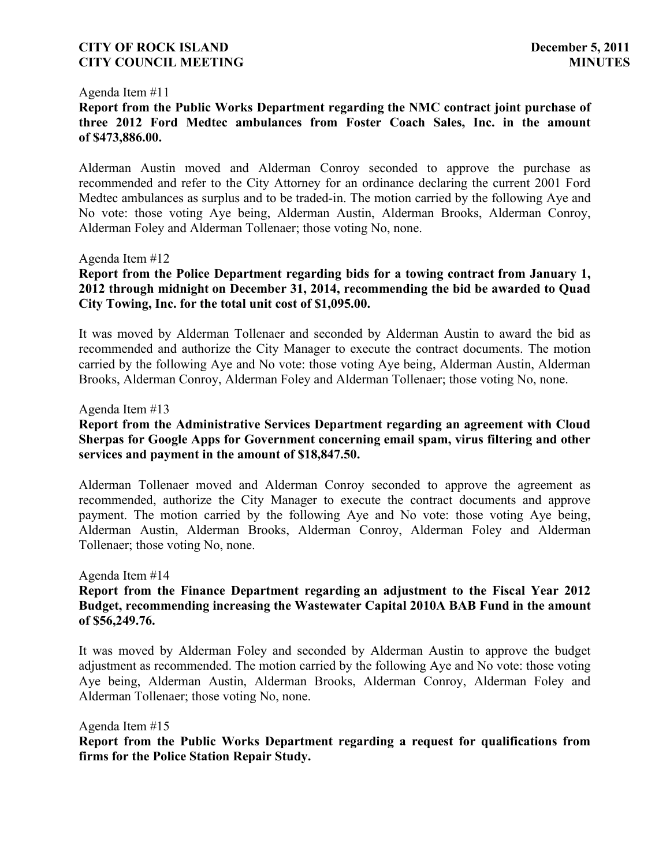#### Agenda Item #11

**Report from the Public Works Department regarding the NMC contract joint purchase of three 2012 Ford Medtec ambulances from Foster Coach Sales, Inc. in the amount of \$473,886.00.**

Alderman Austin moved and Alderman Conroy seconded to approve the purchase as recommended and refer to the City Attorney for an ordinance declaring the current 2001 Ford Medtec ambulances as surplus and to be traded-in. The motion carried by the following Aye and No vote: those voting Aye being, Alderman Austin, Alderman Brooks, Alderman Conroy, Alderman Foley and Alderman Tollenaer; those voting No, none.

#### Agenda Item #12

## **Report from the Police Department regarding bids for a towing contract from January 1, 2012 through midnight on December 31, 2014, recommending the bid be awarded to Quad City Towing, Inc. for the total unit cost of \$1,095.00.**

It was moved by Alderman Tollenaer and seconded by Alderman Austin to award the bid as recommended and authorize the City Manager to execute the contract documents. The motion carried by the following Aye and No vote: those voting Aye being, Alderman Austin, Alderman Brooks, Alderman Conroy, Alderman Foley and Alderman Tollenaer; those voting No, none.

#### Agenda Item #13

## **Report from the Administrative Services Department regarding an agreement with Cloud Sherpas for Google Apps for Government concerning email spam, virus filtering and other services and payment in the amount of \$18,847.50.**

Alderman Tollenaer moved and Alderman Conroy seconded to approve the agreement as recommended, authorize the City Manager to execute the contract documents and approve payment. The motion carried by the following Aye and No vote: those voting Aye being, Alderman Austin, Alderman Brooks, Alderman Conroy, Alderman Foley and Alderman Tollenaer; those voting No, none.

Agenda Item #14

## **Report from the Finance Department regarding an adjustment to the Fiscal Year 2012 Budget, recommending increasing the Wastewater Capital 2010A BAB Fund in the amount of \$56,249.76.**

It was moved by Alderman Foley and seconded by Alderman Austin to approve the budget adjustment as recommended. The motion carried by the following Aye and No vote: those voting Aye being, Alderman Austin, Alderman Brooks, Alderman Conroy, Alderman Foley and Alderman Tollenaer; those voting No, none.

Agenda Item #15

**Report from the Public Works Department regarding a request for qualifications from firms for the Police Station Repair Study.**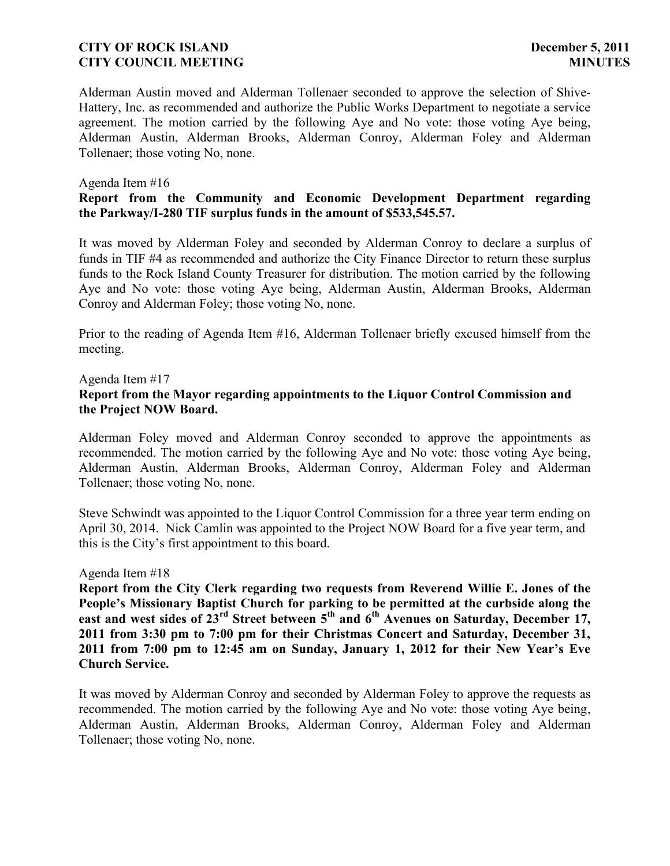Alderman Austin moved and Alderman Tollenaer seconded to approve the selection of Shive-Hattery, Inc. as recommended and authorize the Public Works Department to negotiate a service agreement. The motion carried by the following Aye and No vote: those voting Aye being, Alderman Austin, Alderman Brooks, Alderman Conroy, Alderman Foley and Alderman Tollenaer; those voting No, none.

#### Agenda Item #16

## **Report from the Community and Economic Development Department regarding the Parkway/I-280 TIF surplus funds in the amount of \$533,545.57.**

It was moved by Alderman Foley and seconded by Alderman Conroy to declare a surplus of funds in TIF #4 as recommended and authorize the City Finance Director to return these surplus funds to the Rock Island County Treasurer for distribution. The motion carried by the following Aye and No vote: those voting Aye being, Alderman Austin, Alderman Brooks, Alderman Conroy and Alderman Foley; those voting No, none.

Prior to the reading of Agenda Item #16, Alderman Tollenaer briefly excused himself from the meeting.

# Agenda Item #17 **Report from the Mayor regarding appointments to the Liquor Control Commission and the Project NOW Board.**

Alderman Foley moved and Alderman Conroy seconded to approve the appointments as recommended. The motion carried by the following Aye and No vote: those voting Aye being, Alderman Austin, Alderman Brooks, Alderman Conroy, Alderman Foley and Alderman Tollenaer; those voting No, none.

Steve Schwindt was appointed to the Liquor Control Commission for a three year term ending on April 30, 2014. Nick Camlin was appointed to the Project NOW Board for a five year term, and this is the City's first appointment to this board.

Agenda Item #18

**Report from the City Clerk regarding two requests from Reverend Willie E. Jones of the People's Missionary Baptist Church for parking to be permitted at the curbside along the east and west sides of 23rd Street between 5th and 6th Avenues on Saturday, December 17, 2011 from 3:30 pm to 7:00 pm for their Christmas Concert and Saturday, December 31, 2011 from 7:00 pm to 12:45 am on Sunday, January 1, 2012 for their New Year's Eve Church Service.**

It was moved by Alderman Conroy and seconded by Alderman Foley to approve the requests as recommended. The motion carried by the following Aye and No vote: those voting Aye being, Alderman Austin, Alderman Brooks, Alderman Conroy, Alderman Foley and Alderman Tollenaer; those voting No, none.